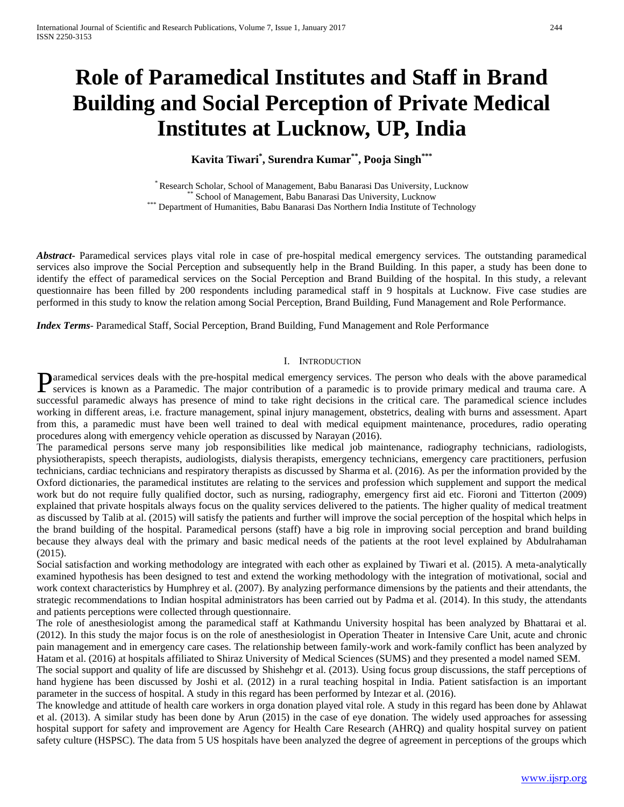# **Role of Paramedical Institutes and Staff in Brand Building and Social Perception of Private Medical Institutes at Lucknow, UP, India**

**Kavita Tiwari\* , Surendra Kumar\*\*, Pooja Singh\*\*\***

\* Research Scholar, School of Management, Babu Banarasi Das University, Lucknow<br>\*\* School of Management, Babu Banarasi Das University, Lucknow<br><sup>\*\*</sup> Department of Humanities, Babu Banarasi Das Northern India Institute of Te

*Abstract***-** Paramedical services plays vital role in case of pre-hospital medical emergency services. The outstanding paramedical services also improve the Social Perception and subsequently help in the Brand Building. In this paper, a study has been done to identify the effect of paramedical services on the Social Perception and Brand Building of the hospital. In this study, a relevant questionnaire has been filled by 200 respondents including paramedical staff in 9 hospitals at Lucknow. Five case studies are performed in this study to know the relation among Social Perception, Brand Building, Fund Management and Role Performance.

*Index Terms*- Paramedical Staff, Social Perception, Brand Building, Fund Management and Role Performance

#### I. INTRODUCTION

aramedical services deals with the pre-hospital medical emergency services. The person who deals with the above paramedical **Paramedical services deals with the pre-hospital medical emergency services. The person who deals with the above paramedical services is known as a Paramedic. The major contribution of a paramedic is to provide primary me** successful paramedic always has presence of mind to take right decisions in the critical care. The paramedical science includes working in different areas, i.e. fracture management, spinal injury management, obstetrics, dealing with burns and assessment. Apart from this, a paramedic must have been well trained to deal with medical equipment maintenance, procedures, radio operating procedures along with emergency vehicle operation as discussed by Narayan (2016).

The paramedical persons serve many job responsibilities like medical job maintenance, radiography technicians, radiologists, physiotherapists, speech therapists, audiologists, dialysis therapists, emergency technicians, emergency care practitioners, perfusion technicians, cardiac technicians and respiratory therapists as discussed by Sharma et al. (2016). As per the information provided by the Oxford dictionaries, the paramedical institutes are relating to the services and profession which supplement and support the medical work but do not require fully qualified doctor, such as nursing, radiography, emergency first aid etc. Fioroni and Titterton (2009) explained that private hospitals always focus on the quality services delivered to the patients. The higher quality of medical treatment as discussed by Talib at al. (2015) will satisfy the patients and further will improve the social perception of the hospital which helps in the brand building of the hospital. Paramedical persons (staff) have a big role in improving social perception and brand building because they always deal with the primary and basic medical needs of the patients at the root level explained by Abdulrahaman (2015).

Social satisfaction and working methodology are integrated with each other as explained by Tiwari et al. (2015). A meta-analytically examined hypothesis has been designed to test and extend the working methodology with the integration of motivational, social and work context characteristics by Humphrey et al. (2007). By analyzing performance dimensions by the patients and their attendants, the strategic recommendations to Indian hospital administrators has been carried out by Padma et al. (2014). In this study, the attendants and patients perceptions were collected through questionnaire.

The role of anesthesiologist among the paramedical staff at Kathmandu University hospital has been analyzed by Bhattarai et al. (2012). In this study the major focus is on the role of anesthesiologist in Operation Theater in Intensive Care Unit, acute and chronic pain management and in emergency care cases. The relationship between family-work and work-family conflict has been analyzed by Hatam et al. (2016) at hospitals affiliated to Shiraz University of Medical Sciences (SUMS) and they presented a model named SEM.

The social support and quality of life are discussed by Shishehgr et al. (2013). Using focus group discussions, the staff perceptions of hand hygiene has been discussed by Joshi et al. (2012) in a rural teaching hospital in India. Patient satisfaction is an important parameter in the success of hospital. A study in this regard has been performed by Intezar et al. (2016).

The knowledge and attitude of health care workers in orga donation played vital role. A study in this regard has been done by Ahlawat et al. (2013). A similar study has been done by Arun (2015) in the case of eye donation. The widely used approaches for assessing hospital support for safety and improvement are Agency for Health Care Research (AHRQ) and quality hospital survey on patient safety culture (HSPSC). The data from 5 US hospitals have been analyzed the degree of agreement in perceptions of the groups which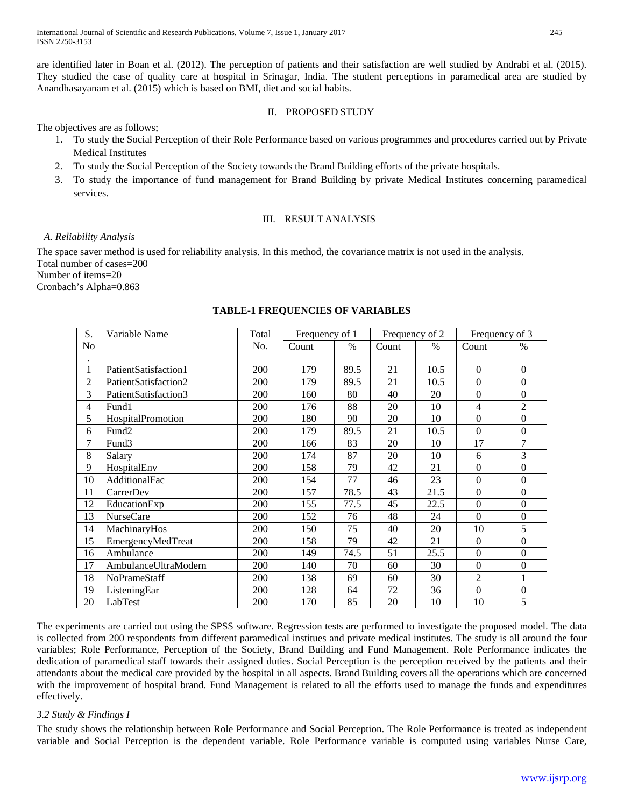are identified later in Boan et al. (2012). The perception of patients and their satisfaction are well studied by Andrabi et al. (2015). They studied the case of quality care at hospital in Srinagar, India. The student perceptions in paramedical area are studied by Anandhasayanam et al. (2015) which is based on BMI, diet and social habits.

# II. PROPOSED STUDY

The objectives are as follows;

- 1. To study the Social Perception of their Role Performance based on various programmes and procedures carried out by Private Medical Institutes
- 2. To study the Social Perception of the Society towards the Brand Building efforts of the private hospitals.
- 3. To study the importance of fund management for Brand Building by private Medical Institutes concerning paramedical services.

# III. RESULT ANALYSIS

## *A. Reliability Analysis*

The space saver method is used for reliability analysis. In this method, the covariance matrix is not used in the analysis. Total number of cases=200 Number of items=20 Cronbach's Alpha=0.863

| S.             | Variable Name        | Total | Frequency of 1 |      | Frequency of 2 |      | Frequency of 3   |                  |
|----------------|----------------------|-------|----------------|------|----------------|------|------------------|------------------|
| No             |                      | No.   | Count          | $\%$ | Count          | $\%$ | Count            | $\%$             |
|                |                      |       |                |      |                |      |                  |                  |
| 1              | PatientSatisfaction1 | 200   | 179            | 89.5 | 21             | 10.5 | $\Omega$         | $\Omega$         |
| $\overline{2}$ | PatientSatisfaction2 | 200   | 179            | 89.5 | 21             | 10.5 | $\overline{0}$   | $\Omega$         |
| 3              | PatientSatisfaction3 | 200   | 160            | 80   | 40             | 20   | $\boldsymbol{0}$ | $\Omega$         |
| $\overline{4}$ | Fund1                | 200   | 176            | 88   | 20             | 10   | $\overline{4}$   | $\overline{2}$   |
| 5              | HospitalPromotion    | 200   | 180            | 90   | 20             | 10   | $\mathbf{0}$     | $\boldsymbol{0}$ |
| 6              | Fund <sub>2</sub>    | 200   | 179            | 89.5 | 21             | 10.5 | $\overline{0}$   | $\Omega$         |
| 7              | Fund <sub>3</sub>    | 200   | 166            | 83   | 20             | 10   | 17               | 7                |
| 8              | Salary               | 200   | 174            | 87   | 20             | 10   | 6                | 3                |
| 9              | HospitalEnv          | 200   | 158            | 79   | 42             | 21   | $\boldsymbol{0}$ | $\overline{0}$   |
| 10             | AdditionalFac        | 200   | 154            | 77   | 46             | 23   | $\Omega$         | $\Omega$         |
| 11             | CarrerDev            | 200   | 157            | 78.5 | 43             | 21.5 | $\boldsymbol{0}$ | $\Omega$         |
| 12             | EducationExp         | 200   | 155            | 77.5 | 45             | 22.5 | $\boldsymbol{0}$ | $\overline{0}$   |
| 13             | <b>NurseCare</b>     | 200   | 152            | 76   | 48             | 24   | $\overline{0}$   | $\Omega$         |
| 14             | MachinaryHos         | 200   | 150            | 75   | 40             | 20   | 10               | 5                |
| 15             | EmergencyMedTreat    | 200   | 158            | 79   | 42             | 21   | $\Omega$         | $\Omega$         |
| 16             | Ambulance            | 200   | 149            | 74.5 | 51             | 25.5 | $\boldsymbol{0}$ | $\boldsymbol{0}$ |
| 17             | AmbulanceUltraModern | 200   | 140            | 70   | 60             | 30   | $\boldsymbol{0}$ | $\Omega$         |
| 18             | <b>NoPrameStaff</b>  | 200   | 138            | 69   | 60             | 30   | $\overline{2}$   |                  |
| 19             | ListeningEar         | 200   | 128            | 64   | 72             | 36   | $\overline{0}$   | $\mathbf{0}$     |
| 20             | LabTest              | 200   | 170            | 85   | 20             | 10   | 10               | 5                |

# **TABLE-1 FREQUENCIES OF VARIABLES**

The experiments are carried out using the SPSS software. Regression tests are performed to investigate the proposed model. The data is collected from 200 respondents from different paramedical institues and private medical institutes. The study is all around the four variables; Role Performance, Perception of the Society, Brand Building and Fund Management. Role Performance indicates the dedication of paramedical staff towards their assigned duties. Social Perception is the perception received by the patients and their attendants about the medical care provided by the hospital in all aspects. Brand Building covers all the operations which are concerned with the improvement of hospital brand. Fund Management is related to all the efforts used to manage the funds and expenditures effectively.

# *3.2 Study & Findings I*

The study shows the relationship between Role Performance and Social Perception. The Role Performance is treated as independent variable and Social Perception is the dependent variable. Role Performance variable is computed using variables Nurse Care,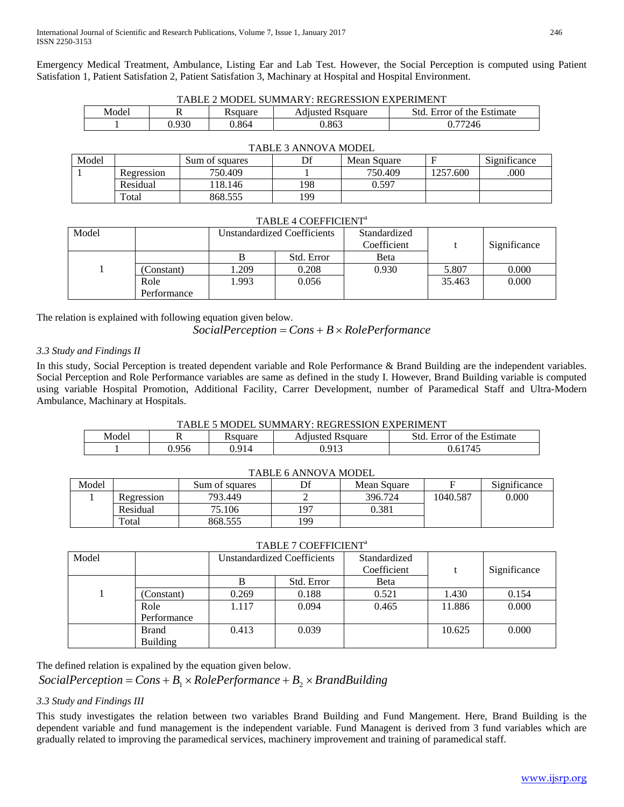Emergency Medical Treatment, Ambulance, Listing Ear and Lab Test. However, the Social Perception is computed using Patient Satisfation 1, Patient Satisfation 2, Patient Satisfation 3, Machinary at Hospital and Hospital Environment.

|                                    | TABLE 2 MODEL SUMMARY: REGRESSION EXPERIMENT                              |  |  |  |  |  |  |  |
|------------------------------------|---------------------------------------------------------------------------|--|--|--|--|--|--|--|
|                                    | Model<br>Std. Error of the Estimate<br><b>Adiusted Rsquare</b><br>Ksquare |  |  |  |  |  |  |  |
| 0.930<br>J.864<br>J.863<br>0.77246 |                                                                           |  |  |  |  |  |  |  |

|       | TABLE 3 ANNOVA MODEL |                |     |             |          |              |  |  |  |
|-------|----------------------|----------------|-----|-------------|----------|--------------|--|--|--|
| Model |                      | Sum of squares |     | Mean Square |          | Significance |  |  |  |
|       | Regression           | 750.409        |     | 750.409     | 1257.600 | .000         |  |  |  |
|       | Residual             | 118.146        | 198 | 0.597       |          |              |  |  |  |
|       | Total                | 868.555        | 199 |             |          |              |  |  |  |

# TABLE 3 ANNOVA MODEL

## TABLE 4 COEFFICIENT<sup>a</sup>

| Model |             | <b>Unstandardized Coefficients</b> |            | Standardized |        |              |
|-------|-------------|------------------------------------|------------|--------------|--------|--------------|
|       |             |                                    |            | Coefficient  |        | Significance |
|       |             | В                                  | Std. Error | Beta         |        |              |
|       | (Constant)  | 1.209                              | 0.208      | 0.930        | 5.807  | 0.000        |
|       | Role        | 1.993                              | 0.056      |              | 35.463 | 0.000        |
|       | Performance |                                    |            |              |        |              |

The relation is explained with following equation given below.

# *SocialPerception* = *Cons* + *B* × *RolePerformance*

## *3.3 Study and Findings II*

In this study, Social Perception is treated dependent variable and Role Performance & Brand Building are the independent variables. Social Perception and Role Performance variables are same as defined in the study I. However, Brand Building variable is computed using variable Hospital Promotion, Additional Facility, Carrer Development, number of Paramedical Staff and Ultra-Modern Ambulance, Machinary at Hospitals.

## TABLE 5 MODEL SUMMARY: REGRESSION EXPERIMENT

| Model | . .   | <b>R</b> square | $\cdot$ $\cdot$<br><b>R</b> square<br>Adjusted | Estimate<br>std.<br>of the<br>Error |
|-------|-------|-----------------|------------------------------------------------|-------------------------------------|
|       | 0.956 | ባ 91⊿           | በ 013                                          | 61745<br>0.61                       |

| TABLE 6 ANNOVA MODEL |            |                |     |             |          |              |  |  |
|----------------------|------------|----------------|-----|-------------|----------|--------------|--|--|
| Model                |            | Sum of squares | Df  | Mean Square |          | Significance |  |  |
|                      | Regression | 793.449        |     | 396.724     | 1040.587 | 0.000        |  |  |
|                      | Residual   | 75.106         | 197 | 0.381       |          |              |  |  |
|                      | Total      | 868.555        | 199 |             |          |              |  |  |

## TABLE 7 COEFFICIENT<sup>a</sup>

| Model |                 | <b>Unstandardized Coefficients</b> |            | Standardized<br>Coefficient |        | Significance |
|-------|-----------------|------------------------------------|------------|-----------------------------|--------|--------------|
|       |                 |                                    | Std. Error | <b>B</b> eta                |        |              |
|       | (Constant)      | 0.269                              | 0.188      | 0.521                       | 1.430  | 0.154        |
|       | Role            | 1.117                              | 0.094      | 0.465                       | 11.886 | 0.000        |
|       | Performance     |                                    |            |                             |        |              |
|       | Brand           | 0.413                              | 0.039      |                             | 10.625 | 0.000        |
|       | <b>Building</b> |                                    |            |                             |        |              |

The defined relation is expalined by the equation given below.

*SocialPerception* =  $Cons + B_1 \times RolePerformance + B_2 \times BrandBuilding$ 

# *3.3 Study and Findings III*

This study investigates the relation between two variables Brand Building and Fund Mangement. Here, Brand Building is the dependent variable and fund management is the independent variable. Fund Managent is derived from 3 fund variables which are gradually related to improving the paramedical services, machinery improvement and training of paramedical staff.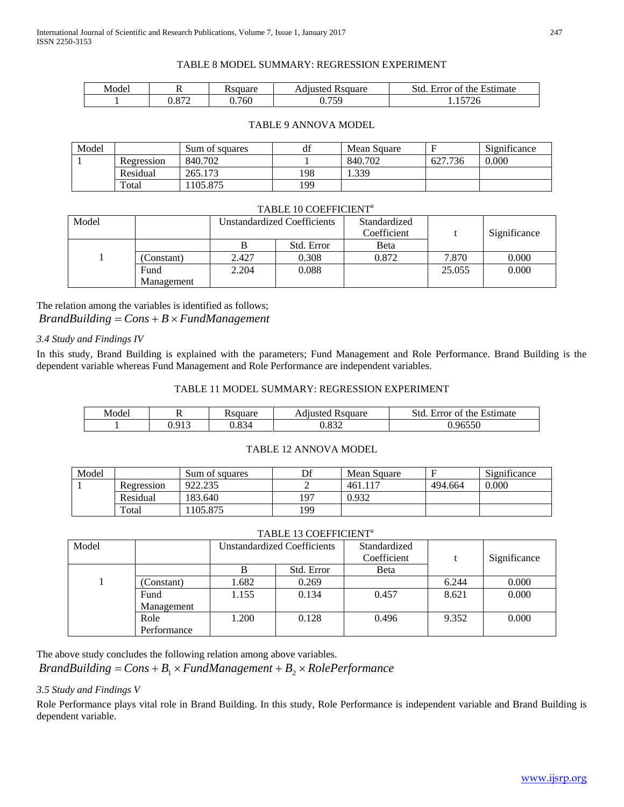## TABLE 8 MODEL SUMMARY: REGRESSION EXPERIMENT

| Model | . .          | Requare | <b>R</b> square<br>Adiusted | Std.<br>Error of the Estimate        |
|-------|--------------|---------|-----------------------------|--------------------------------------|
|       | 072<br>J.OTZ | 0.760   | 750<br>v. 1 J               | $H \cap \Lambda$<br>,,<br>' 4 U<br>. |

## TABLE 9 ANNOVA MODEL

| Model |            | Sum of squares | df  | Mean Square |         | Significance |
|-------|------------|----------------|-----|-------------|---------|--------------|
|       | Regression | 840.702        |     | 840.702     | 627.736 | 0.000        |
|       | Residual   | 265.173        | 198 | 1.339       |         |              |
|       | Total      | 105.875        | 199 |             |         |              |

#### TABLE 10 COEFFICIENT<sup>a</sup>

| Model |            |       | <b>Unstandardized Coefficients</b> | Standardized<br>Coefficient |        | Significance |
|-------|------------|-------|------------------------------------|-----------------------------|--------|--------------|
|       |            |       | Std. Error                         | <b>B</b> eta                |        |              |
|       | (Constant) | 2.427 | 0.308                              | 0.872                       | 7.870  | 0.000        |
|       | Fund       | 2.204 | 0.088                              |                             | 25.055 | 0.000        |
|       | Management |       |                                    |                             |        |              |

The relation among the variables is identified as follows; *BrandBuilding* = *Cons* + *B* × *FundManagement*

## *3.4 Study and Findings IV*

In this study, Brand Building is explained with the parameters; Fund Management and Role Performance. Brand Building is the dependent variable whereas Fund Management and Role Performance are independent variables.

## TABLE 11 MODEL SUMMARY: REGRESSION EXPERIMENT

| Model | . .            | Rsquare                   | . .<br><b>R</b> square<br>Adjusted | Std<br>$\overline{\phantom{a}}$<br>Estimate<br>the<br>Error<br>ΟĪ |
|-------|----------------|---------------------------|------------------------------------|-------------------------------------------------------------------|
|       | ገ 013<br>U.JIJ | ററ<br>ے -<br>v.o <i>.</i> | വ റെ പ<br>ے ت                      | .96550<br>υ.                                                      |

## TABLE 12 ANNOVA MODEL

| Model |            | Sum of squares | D€<br>ப | Mean Square | Е       | Significance |
|-------|------------|----------------|---------|-------------|---------|--------------|
|       | Regression | 922.235        |         | 461.        | 494.664 | 0.000        |
|       | Residual   | 183.640        | 197     | 0.932       |         |              |
|       | Total      | 105.875        | 199     |             |         |              |

## TABLE 13 COEFFICIENT<sup>a</sup>

| Model |             | <b>Unstandardized Coefficients</b> |            | Standardized |       |              |
|-------|-------------|------------------------------------|------------|--------------|-------|--------------|
|       |             |                                    |            | Coefficient  |       | Significance |
|       |             | в                                  | Std. Error | <b>B</b> eta |       |              |
|       | (Constant)  | 1.682                              | 0.269      |              | 6.244 | 0.000        |
|       | Fund        | 1.155                              | 0.134      | 0.457        | 8.621 | 0.000        |
|       | Management  |                                    |            |              |       |              |
|       | Role        | 1.200                              | 0.128      | 0.496        | 9.352 | 0.000        |
|       | Performance |                                    |            |              |       |              |

The above study concludes the following relation among above variables.

*BrandBuilding* =  $Cons + B_1 \times FundManagement + B_2 \times RolePerformance$ 

## *3.5 Study and Findings V*

Role Performance plays vital role in Brand Building. In this study, Role Performance is independent variable and Brand Building is dependent variable.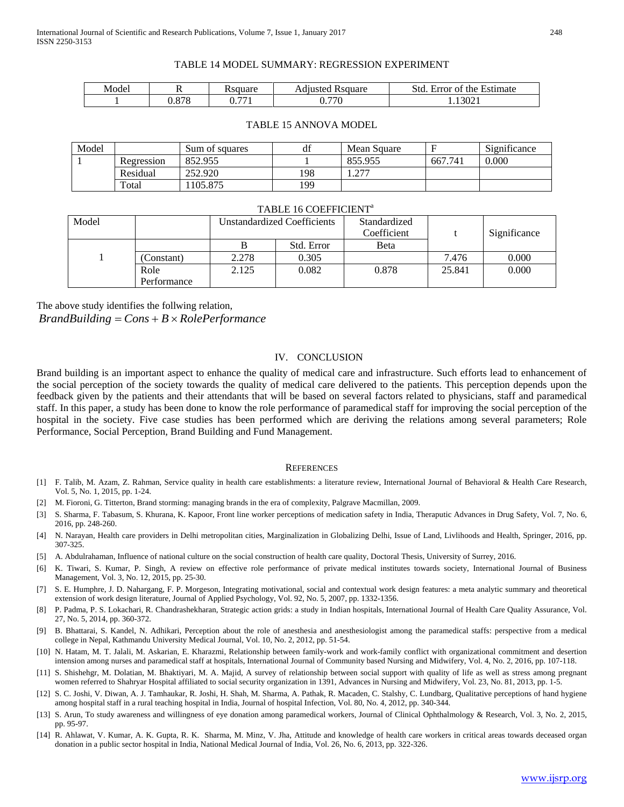#### TABLE 14 MODEL SUMMARY: REGRESSION EXPERIMENT

| Modei | . .            | Resouare                          | <b>R</b> square<br>Adjusted | Std.<br>the Estimate<br>Error of |
|-------|----------------|-----------------------------------|-----------------------------|----------------------------------|
|       | 070<br>v.v / v | $\overline{\phantom{a}}$<br>U.771 | 770<br>۰ ن<br>v.,           | '.13021                          |

| Model | 11             | 0011040<br>suualu        | .<br><b>R</b> square<br>Adjusted | . .<br>.<br>Estimate<br>the<br>. tr<br>±rror of<br>ມ⊍ |
|-------|----------------|--------------------------|----------------------------------|-------------------------------------------------------|
|       | 070<br>v.v / v | $\overline{\phantom{m}}$ | 770<br>,,<br>- 11                | 1.13021                                               |

#### TABLE 15 ANNOVA MODEL

| Model |            | Sum of squares | df  | Mean Square |         | $\sim$<br>Significance |
|-------|------------|----------------|-----|-------------|---------|------------------------|
|       | Regression | 852.955        |     | 855.955     | 667.741 | 0.000                  |
|       | Residual   | 252.920        | 198 | ררר         |         |                        |
|       | Total      | 105.875        | 199 |             |         |                        |

#### TABLE 16 COEFFICIENT<sup>a</sup>

| Model |             | <b>Unstandardized Coefficients</b> |            | Standardized<br>Coefficient |        | Significance |
|-------|-------------|------------------------------------|------------|-----------------------------|--------|--------------|
|       |             |                                    | Std. Error | <b>B</b> eta                |        |              |
|       | (Constant)  | 2.278                              | 0.305      |                             | 7.476  | 0.000        |
|       | Role        | 2.125                              | 0.082      | 0.878                       | 25.841 | 0.000        |
|       | Performance |                                    |            |                             |        |              |

The above study identifies the follwing relation,

*BrandBuilding* = *Cons* + *B* × *RolePerformance*

#### IV. CONCLUSION

Brand building is an important aspect to enhance the quality of medical care and infrastructure. Such efforts lead to enhancement of the social perception of the society towards the quality of medical care delivered to the patients. This perception depends upon the feedback given by the patients and their attendants that will be based on several factors related to physicians, staff and paramedical staff. In this paper, a study has been done to know the role performance of paramedical staff for improving the social perception of the hospital in the society. Five case studies has been performed which are deriving the relations among several parameters; Role Performance, Social Perception, Brand Building and Fund Management.

#### **REFERENCES**

- [1] F. Talib, M. Azam, Z. Rahman, Service quality in health care establishments: a literature review, International Journal of Behavioral & Health Care Research, Vol. 5, No. 1, 2015, pp. 1-24.
- [2] M. Fioroni, G. Titterton, Brand storming: managing brands in the era of complexity, Palgrave Macmillan, 2009.
- [3] S. Sharma, F. Tabasum, S. Khurana, K. Kapoor, Front line worker perceptions of medication safety in India, Theraputic Advances in Drug Safety, Vol. 7, No. 6, 2016, pp. 248-260.
- [4] N. Narayan, Health care providers in Delhi metropolitan cities, Marginalization in Globalizing Delhi, Issue of Land, Livlihoods and Health, Springer, 2016, pp. 307-325.
- [5] A. Abdulrahaman, Influence of national culture on the social construction of health care quality, Doctoral Thesis, University of Surrey, 2016.
- [6] K. Tiwari, S. Kumar, P. Singh, A review on effective role performance of private medical institutes towards society, International Journal of Business Management, Vol. 3, No. 12, 2015, pp. 25-30.
- [7] S. E. Humphre, J. D. Nahargang, F. P. Morgeson, Integrating motivational, social and contextual work design features: a meta analytic summary and theoretical extension of work design literature, Journal of Applied Psychology, Vol. 92, No. 5, 2007, pp. 1332-1356.
- [8] P. Padma, P. S. Lokachari, R. Chandrashekharan, Strategic action grids: a study in Indian hospitals, International Journal of Health Care Quality Assurance, Vol. 27, No. 5, 2014, pp. 360-372.
- [9] B. Bhattarai, S. Kandel, N. Adhikari, Perception about the role of anesthesia and anesthesiologist among the paramedical staffs: perspective from a medical college in Nepal, Kathmandu University Medical Journal, Vol. 10, No. 2, 2012, pp. 51-54.
- [10] N. Hatam, M. T. Jalali, M. Askarian, E. Kharazmi, Relationship between family-work and work-family conflict with organizational commitment and desertion intension among nurses and paramedical staff at hospitals, International Journal of Community based Nursing and Midwifery, Vol. 4, No. 2, 2016, pp. 107-118.
- [11] S. Shishehgr, M. Dolatian, M. Bhaktiyari, M. A. Majid, A survey of relationship between social support with quality of life as well as stress among pregnant women referred to Shahryar Hospital affiliated to social security organization in 1391, Advances in Nursing and Midwifery, Vol. 23, No. 81, 2013, pp. 1-5.
- [12] S. C. Joshi, V. Diwan, A. J. Tamhaukar, R. Joshi, H. Shah, M. Sharma, A. Pathak, R. Macaden, C. Stalshy, C. Lundbarg, Qualitative perceptions of hand hygiene among hospital staff in a rural teaching hospital in India, Journal of hospital Infection, Vol. 80, No. 4, 2012, pp. 340-344.
- [13] S. Arun, To study awareness and willingness of eye donation among paramedical workers, Journal of Clinical Ophthalmology & Research, Vol. 3, No. 2, 2015, pp. 95-97.
- [14] R. Ahlawat, V. Kumar, A. K. Gupta, R. K. Sharma, M. Minz, V. Jha, Attitude and knowledge of health care workers in critical areas towards deceased organ donation in a public sector hospital in India, National Medical Journal of India, Vol. 26, No. 6, 2013, pp. 322-326.